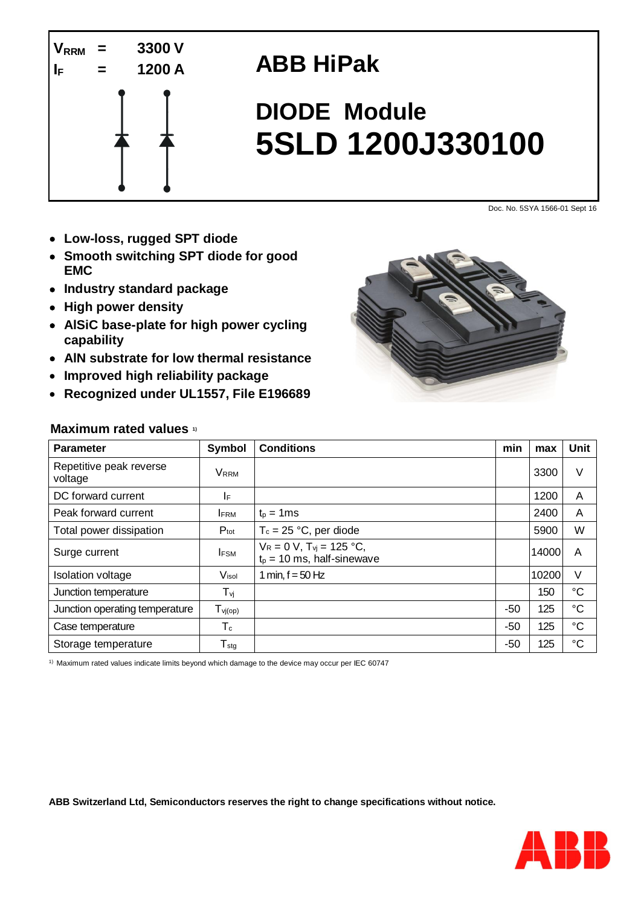

## **ABB HiPak**

# **DIODE Module 5SLD 1200J330100**

Doc. No. 5SYA 1566-01 Sept 16

- **Low-loss, rugged SPT diode**
- **Smooth switching SPT diode for good EMC**
- **Industry standard package**
- **High power density**
- **AlSiC base-plate for high power cycling capability**
- **AlN substrate for low thermal resistance**
- **Improved high reliability package**
- **Recognized under UL1557, File E196689**



#### **Maximum rated values 1)**

| <b>Parameter</b>                   | Symbol              | <b>Conditions</b>                                                 | min   | max   | Unit            |  |  |  |
|------------------------------------|---------------------|-------------------------------------------------------------------|-------|-------|-----------------|--|--|--|
| Repetitive peak reverse<br>voltage | <b>VRRM</b>         |                                                                   |       | 3300  | V               |  |  |  |
| DC forward current                 | I۴                  |                                                                   |       | 1200  | A               |  |  |  |
| Peak forward current               | <b>IFRM</b>         | $t_p = 1$ ms                                                      |       | 2400  | A               |  |  |  |
| Total power dissipation            | $P_{\text{tot}}$    | $T_c = 25 °C$ , per diode                                         |       | 5900  | W               |  |  |  |
| Surge current                      | <b>IFSM</b>         | $V_R = 0 V$ , $T_{vi} = 125 °C$ ,<br>$t_p = 10$ ms, half-sinewave |       | 14000 | A               |  |  |  |
| <b>Isolation voltage</b>           | Visol               | 1 min, $f = 50$ Hz                                                |       | 10200 | V               |  |  |  |
| Junction temperature               | $T_{\nu j}$         |                                                                   |       | 150   | $^{\circ}C$     |  |  |  |
| Junction operating temperature     | $T_{\text{vj(op)}}$ |                                                                   | $-50$ | 125   | $\rm ^{\circ}C$ |  |  |  |
| Case temperature                   | $T_c$               |                                                                   | $-50$ | 125   | $^{\circ}C$     |  |  |  |
| Storage temperature                | $T_{\text{stg}}$    |                                                                   | $-50$ | 125   | $\rm ^{\circ}C$ |  |  |  |

1) Maximum rated values indicate limits beyond which damage to the device may occur per IEC 60747

**ABB Switzerland Ltd, Semiconductors reserves the right to change specifications without notice.**

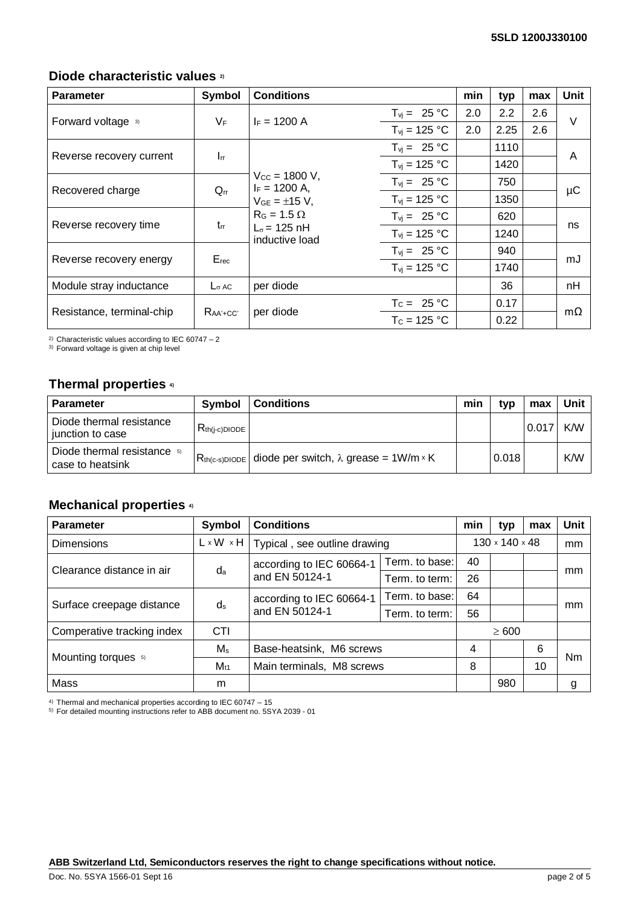#### **Diode characteristic values 2)**

| <b>Parameter</b>          | Symbol                   | <b>Conditions</b>                                                                                    |                   | min | typ  | max | Unit      |
|---------------------------|--------------------------|------------------------------------------------------------------------------------------------------|-------------------|-----|------|-----|-----------|
| Forward voltage 3)        | $V_F$                    | $F = 1200 A$                                                                                         | $T_{vi} = 25 °C$  | 2.0 | 2.2  | 2.6 | V         |
|                           |                          |                                                                                                      | $T_{vi}$ = 125 °C | 2.0 | 2.25 | 2.6 |           |
|                           | $\mathbf{I}_{\text{rr}}$ |                                                                                                      | $T_{vi} = 25 °C$  |     | 1110 |     | A         |
| Reverse recovery current  |                          |                                                                                                      | $T_{vi}$ = 125 °C |     | 1420 |     |           |
| Recovered charge          | $Q_{rr}$                 | $V_{\text{CC}} = 1800 \text{ V}$ ,<br>$I_F = 1200$ A,<br>$V_{GE} = \pm 15 V$ ,<br>$R_G = 1.5 \Omega$ | $T_{vi} = 25 °C$  |     | 750  |     | μC        |
|                           |                          |                                                                                                      | $T_{vi}$ = 125 °C |     | 1350 |     |           |
| Reverse recovery time     | $t_{rr}$                 |                                                                                                      | $T_{vi} = 25 °C$  |     | 620  |     | ns        |
|                           |                          | $L_{\sigma}$ = 125 nH<br>inductive load                                                              | $T_{vi}$ = 125 °C |     | 1240 |     |           |
| Reverse recovery energy   | $E_{rec}$                |                                                                                                      | $T_{vi} = 25 °C$  |     | 940  |     | mJ        |
|                           |                          |                                                                                                      | $T_{vi}$ = 125 °C |     | 1740 |     |           |
| Module stray inductance   | $L_{\sigma}$ AC          | per diode                                                                                            |                   |     | 36   |     | nH        |
| Resistance, terminal-chip |                          |                                                                                                      | $T_c = 25 °C$     |     | 0.17 |     | $m\Omega$ |
|                           | $RaA + CC$               | per diode                                                                                            | $T_c = 125 °C$    |     | 0.22 |     |           |

<sup>2)</sup> Characteristic values according to IEC 60747 - 2

3) Forward voltage is given at chip level

#### **Thermal properties 4)**

| <b>Parameter</b>                                | Symbol             | <b>Conditions</b>                                                | min | tvp   | max   | Unit |
|-------------------------------------------------|--------------------|------------------------------------------------------------------|-----|-------|-------|------|
| Diode thermal resistance<br>junction to case    | $R_{th(i-c)DIODE}$ |                                                                  |     |       | 0.017 | K/W  |
| Diode thermal resistance 5)<br>case to heatsink |                    | $R_{th(c-s)DIODE}$ diode per switch, $\lambda$ grease = 1W/m × K |     | 0.018 |       | K/W  |

### **Mechanical properties 4)**

| <b>Parameter</b>           | Symbol                | <b>Conditions</b>                          |                | min                        | typ | max | <b>Unit</b> |
|----------------------------|-----------------------|--------------------------------------------|----------------|----------------------------|-----|-----|-------------|
| <b>Dimensions</b>          | $L \times W \times H$ | Typical, see outline drawing               |                | $130 \times 140 \times 48$ |     |     | mm          |
| Clearance distance in air  | da                    | according to IEC 60664-1<br>and EN 50124-1 | Term, to base: | 40                         |     |     | mm          |
|                            |                       |                                            | Term, to term: | 26                         |     |     |             |
| Surface creepage distance  | $d_s$                 | according to IEC 60664-1<br>and EN 50124-1 | Term. to base: | 64                         |     |     | mm          |
|                            |                       |                                            | Term. to term: | 56                         |     |     |             |
| Comperative tracking index | <b>CTI</b>            |                                            |                | $\geq 600$                 |     |     |             |
| Mounting torques 5)        | $M_{\rm s}$           | Base-heatsink, M6 screws                   |                | 4                          |     | 6   | Nm          |
|                            | $M_{t1}$              | Main terminals, M8 screws                  |                | 8                          |     | 10  |             |
| Mass                       | m                     |                                            |                |                            | 980 |     | g           |

4) Thermal and mechanical properties according to IEC 60747 – 15

5) For detailed mounting instructions refer to ABB document no. 5SYA 2039 - 01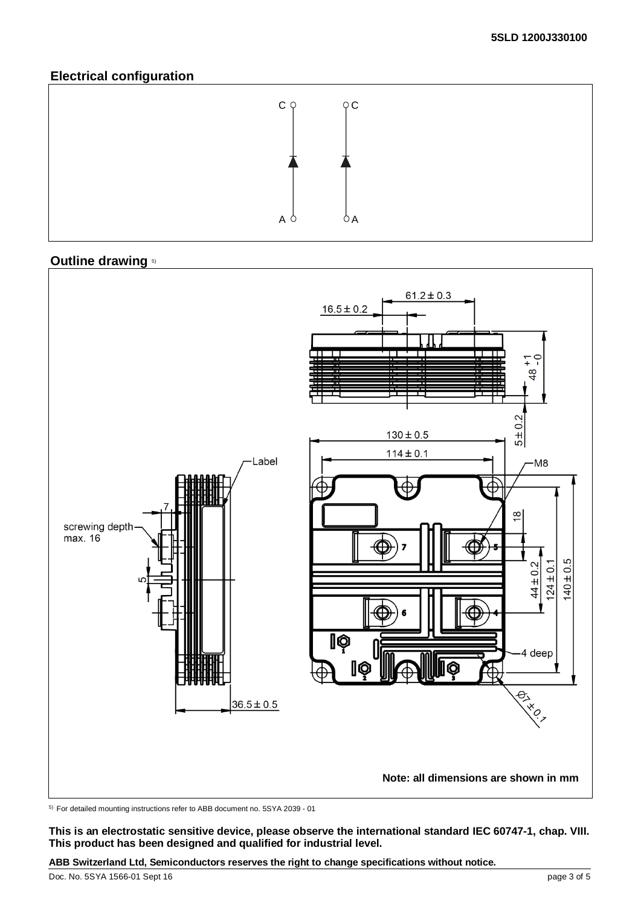#### **Electrical configuration**



#### **Outline drawing** 5)



5) For detailed mounting instructions refer to ABB document no. 5SYA 2039 - 01

**This is an electrostatic sensitive device, please observe the international standard IEC 60747-1, chap. VIII. This product has been designed and qualified for industrial level.**

**ABB Switzerland Ltd, Semiconductors reserves the right to change specifications without notice.**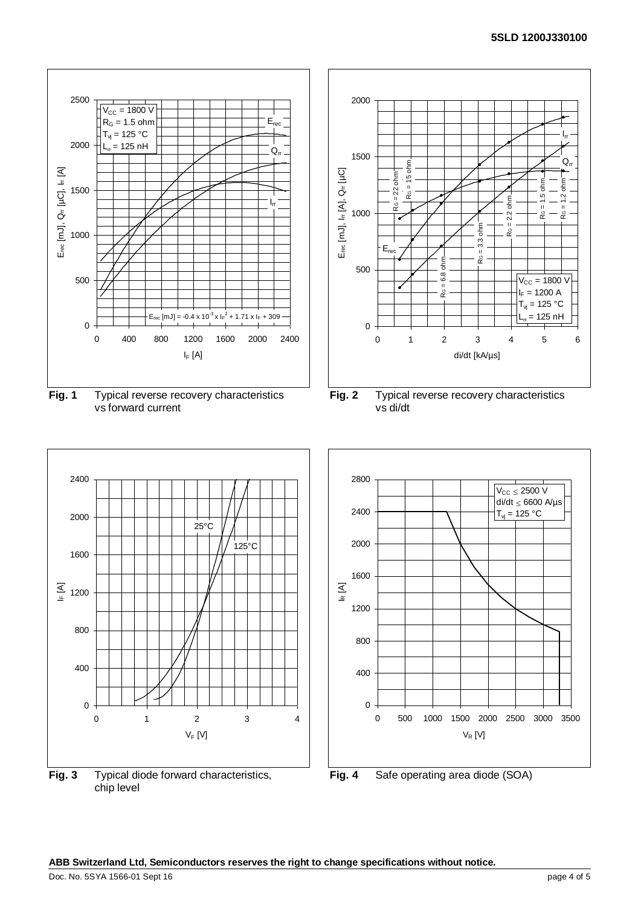